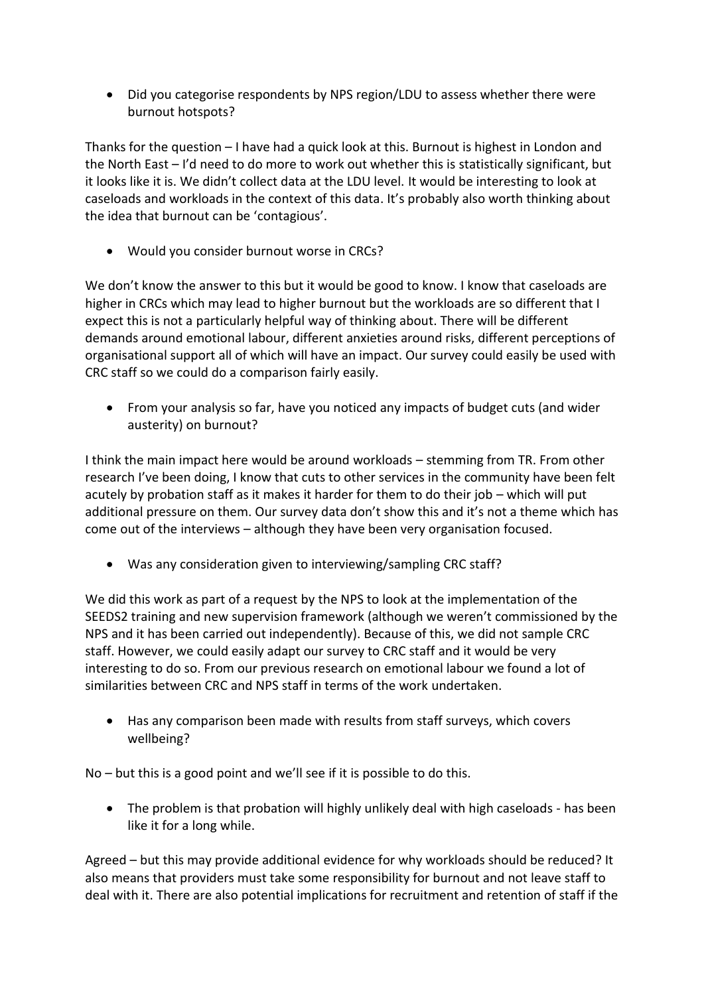Did you categorise respondents by NPS region/LDU to assess whether there were burnout hotspots?

Thanks for the question – I have had a quick look at this. Burnout is highest in London and the North East – I'd need to do more to work out whether this is statistically significant, but it looks like it is. We didn't collect data at the LDU level. It would be interesting to look at caseloads and workloads in the context of this data. It's probably also worth thinking about the idea that burnout can be 'contagious'.

Would you consider burnout worse in CRCs?

We don't know the answer to this but it would be good to know. I know that caseloads are higher in CRCs which may lead to higher burnout but the workloads are so different that I expect this is not a particularly helpful way of thinking about. There will be different demands around emotional labour, different anxieties around risks, different perceptions of organisational support all of which will have an impact. Our survey could easily be used with CRC staff so we could do a comparison fairly easily.

 From your analysis so far, have you noticed any impacts of budget cuts (and wider austerity) on burnout?

I think the main impact here would be around workloads – stemming from TR. From other research I've been doing, I know that cuts to other services in the community have been felt acutely by probation staff as it makes it harder for them to do their job – which will put additional pressure on them. Our survey data don't show this and it's not a theme which has come out of the interviews – although they have been very organisation focused.

Was any consideration given to interviewing/sampling CRC staff?

We did this work as part of a request by the NPS to look at the implementation of the SEEDS2 training and new supervision framework (although we weren't commissioned by the NPS and it has been carried out independently). Because of this, we did not sample CRC staff. However, we could easily adapt our survey to CRC staff and it would be very interesting to do so. From our previous research on emotional labour we found a lot of similarities between CRC and NPS staff in terms of the work undertaken.

 Has any comparison been made with results from staff surveys, which covers wellbeing?

No – but this is a good point and we'll see if it is possible to do this.

 The problem is that probation will highly unlikely deal with high caseloads - has been like it for a long while.

Agreed – but this may provide additional evidence for why workloads should be reduced? It also means that providers must take some responsibility for burnout and not leave staff to deal with it. There are also potential implications for recruitment and retention of staff if the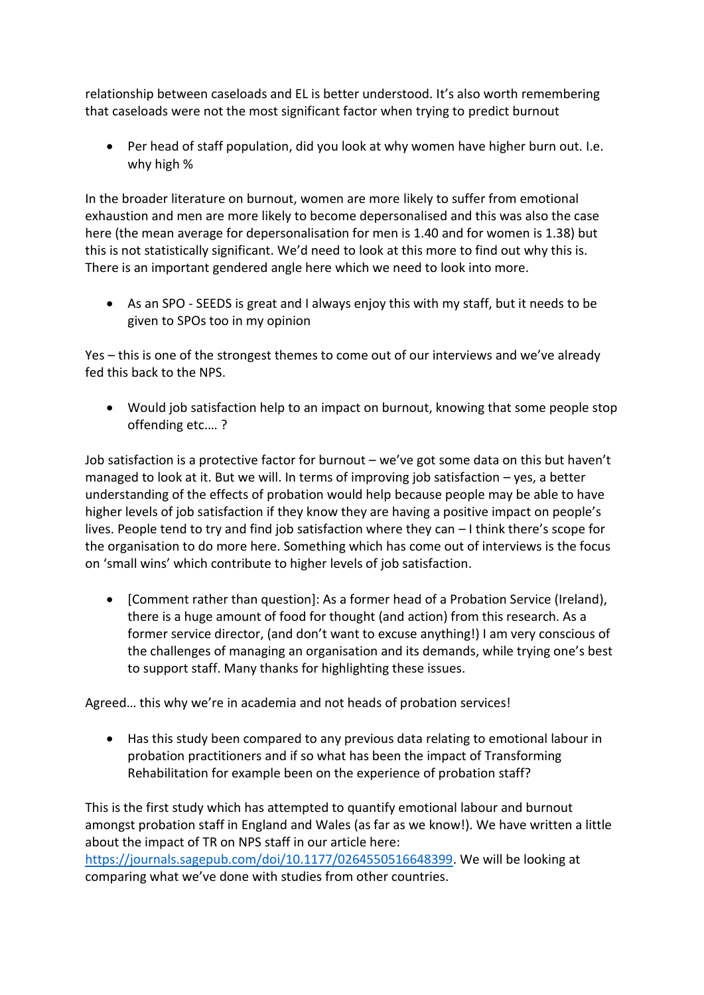relationship between caseloads and EL is better understood. It's also worth remembering that caseloads were not the most significant factor when trying to predict burnout

 Per head of staff population, did you look at why women have higher burn out. I.e. why high %

In the broader literature on burnout, women are more likely to suffer from emotional exhaustion and men are more likely to become depersonalised and this was also the case here (the mean average for depersonalisation for men is 1.40 and for women is 1.38) but this is not statistically significant. We'd need to look at this more to find out why this is. There is an important gendered angle here which we need to look into more.

 As an SPO - SEEDS is great and I always enjoy this with my staff, but it needs to be given to SPOs too in my opinion

Yes – this is one of the strongest themes to come out of our interviews and we've already fed this back to the NPS.

 Would job satisfaction help to an impact on burnout, knowing that some people stop offending etc.… ?

Job satisfaction is a protective factor for burnout – we've got some data on this but haven't managed to look at it. But we will. In terms of improving job satisfaction – yes, a better understanding of the effects of probation would help because people may be able to have higher levels of job satisfaction if they know they are having a positive impact on people's lives. People tend to try and find job satisfaction where they can – I think there's scope for the organisation to do more here. Something which has come out of interviews is the focus on 'small wins' which contribute to higher levels of job satisfaction.

 [Comment rather than question]: As a former head of a Probation Service (Ireland), there is a huge amount of food for thought (and action) from this research. As a former service director, (and don't want to excuse anything!) I am very conscious of the challenges of managing an organisation and its demands, while trying one's best to support staff. Many thanks for highlighting these issues.

Agreed… this why we're in academia and not heads of probation services!

 Has this study been compared to any previous data relating to emotional labour in probation practitioners and if so what has been the impact of Transforming Rehabilitation for example been on the experience of probation staff?

This is the first study which has attempted to quantify emotional labour and burnout amongst probation staff in England and Wales (as far as we know!). We have written a little about the impact of TR on NPS staff in our article here:

[https://journals.sagepub.com/doi/10.1177/0264550516648399.](https://journals.sagepub.com/doi/10.1177/0264550516648399) We will be looking at comparing what we've done with studies from other countries.